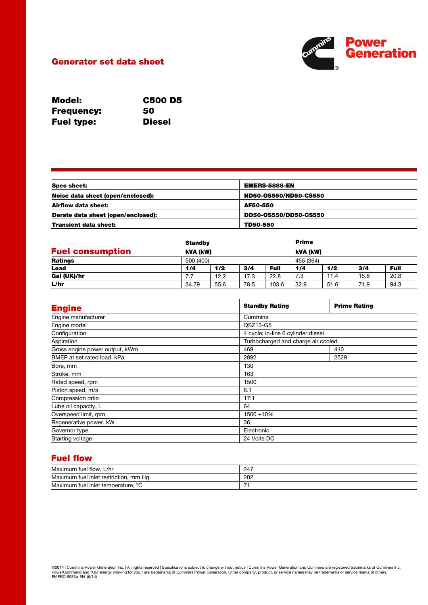

## Generator set data sheet

| <b>Model:</b>     | <b>C500 D5</b> |
|-------------------|----------------|
| <b>Frequency:</b> | 50             |
| <b>Fuel type:</b> | <b>Diesel</b>  |

| <b>Spec sheet:</b>                 | <b>EMERS-5888-EN</b>  |  |
|------------------------------------|-----------------------|--|
| Noise data sheet (open/enclosed):  | ND50-0S550/ND50-CS550 |  |
| Airflow data sheet:                | AF50-550              |  |
| Derate data sheet (open/enclosed): | DD50-0S550/DD50-CS550 |  |
| <b>Transient data sheet:</b>       | TD50-550              |  |

|                         | <b>Standby</b> |           |      |             | <b>Prime</b> |      |      |             |
|-------------------------|----------------|-----------|------|-------------|--------------|------|------|-------------|
| <b>Fuel consumption</b> |                | kVA (kW)  |      |             | kVA (kW)     |      |      |             |
| <b>Ratings</b>          |                | 500 (400) |      | 455 (364)   |              |      |      |             |
| Load                    | 1/4            | 1/2       | 3/4  | <b>Full</b> | 1/4          | 1/2  | 3/4  | <b>Full</b> |
| Gal (UK)/hr             | 7.7            | 12.2      | 17.3 | 22.8        | 7.3          | 11.4 | 15.8 | 20.8        |
| L/hr                    | 34.79          | 55.6      | 78.5 | 103.6       | 32.9         | 51.6 | 71.9 | 94.3        |

| <b>Engine</b>                  | <b>Standby Rating</b>              | <b>Prime Rating</b> |  |  |
|--------------------------------|------------------------------------|---------------------|--|--|
| Engine manufacturer            | Cummins                            |                     |  |  |
| Engine model                   | QSZ13-G5                           |                     |  |  |
| Configuration                  | 4 cycle; in-line 6 cylinder diesel |                     |  |  |
| Aspiration                     | Turbocharged and charge air cooled |                     |  |  |
| Gross engine power output, kWm | 469                                | 410                 |  |  |
| BMEP at set rated load, kPa    | 2892                               | 2529                |  |  |
| Bore, mm                       | 130                                |                     |  |  |
| Stroke, mm                     | 163                                |                     |  |  |
| Rated speed, rpm               | 1500                               |                     |  |  |
| Piston speed, m/s              | 8.1                                |                     |  |  |
| Compression ratio              | 17:1                               |                     |  |  |
| Lube oil capacity, L           | 64                                 |                     |  |  |
| Overspeed limit, rpm           | 1500 ±10%                          |                     |  |  |
| Regenerative power, kW         | 36                                 |                     |  |  |
| Governor type                  | Electronic                         |                     |  |  |
| Starting voltage               | 24 Volts DC                        |                     |  |  |

# Fuel flow

| Maximum fuel flow,<br>L/hr                       | 247 |
|--------------------------------------------------|-----|
| Maximum<br>ı fuel inlet restriction.<br>mm<br>Ha | 202 |
| Maximum fuel inlet temperature, °<br>$\sim$      | -   |

©2014 | Cummins Power Generation Inc. | All rights reserved | Specifications subject to change without notice | Cummins Power Generation and Cummins are registered trademarks of Cummins Inc.<br>PowerCommand and "Our energy w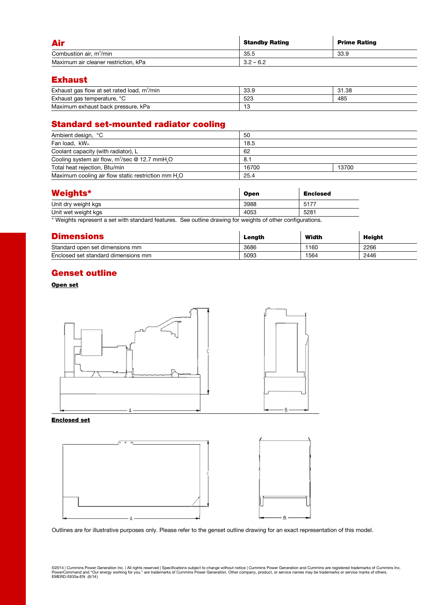| <b>Air</b>                           | <b>Standby Rating</b> | <b>Prime Rating</b> |
|--------------------------------------|-----------------------|---------------------|
| Combustion air, m <sup>3</sup> /min  | 35.5                  | 33.9                |
| Maximum air cleaner restriction, kPa | $3.2 - 6.2$           |                     |

#### Exhaust

| Exhaust gas flow at set rated load.<br>m <sup>3</sup> /min | ם בב<br>ບບ.ວ | 31.38 |
|------------------------------------------------------------|--------------|-------|
| Exhaust gas temperature, 9<br>$\circ$                      | 523          | 485   |
| Maximum exhaust back pressure, kPa                         | ں ا          |       |

# Standard set-mounted radiator cooling

| Ambient design, °C                                              | 50    |       |
|-----------------------------------------------------------------|-------|-------|
| Fan load, kW <sub>m</sub>                                       | 18.5  |       |
| Coolant capacity (with radiator), L                             | 62    |       |
| Cooling system air flow, $m^3$ /sec @ 12.7 mmH <sub>2</sub> O   | 8.1   |       |
| Total heat rejection, Btu/min                                   | 16700 | 13700 |
| Maximum cooling air flow static restriction mm H <sub>2</sub> O | 25.4  |       |

| <b>Weights*</b>     | <b>Open</b> | <b>Enclosed</b> |
|---------------------|-------------|-----------------|
| Unit dry weight kgs | 3988        | 5177            |
| Unit wet weight kgs | 4053        | 5281            |

\* Weights represent a set with standard features. See outline drawing for weights of other configurations.

| <b>Dimensions</b>                   | Length | Width | Height |
|-------------------------------------|--------|-------|--------|
| Standard open set dimensions mm     | 3686   | 1160  | 2266   |
| Enclosed set standard dimensions mm | 5093   | 1564  | 2446   |

## Genset outline

#### Open set



#### Enclosed set



Outlines are for illustrative purposes only. Please refer to the genset outline drawing for an exact representation of this model.

©2014 | Cummins Power Generation Inc. | All rights reserved | Specifications subject to change without notice | Cummins Power Generation and Cummins are registered trademarks of Cummins Inc.<br>PowerCommand and "Our energy w